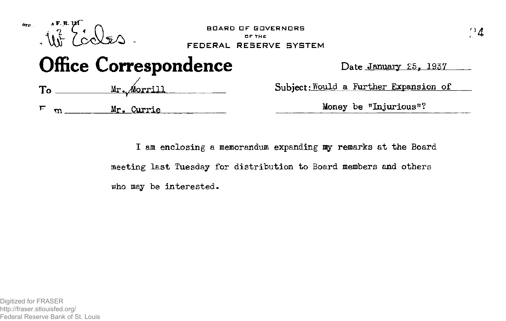

**I am enclosing a memorandum expanding my remarks at the Board meeting last Tuesday for distribution to Board members and others who may be interested.**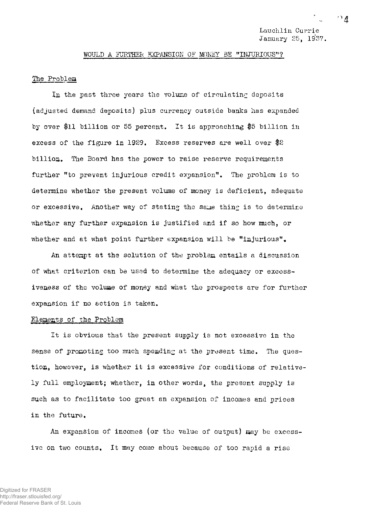Lauchlin Currie January 25, 1937.

#### WOULD A FURTHER EXPANSION OF MONEY BE "INJURIOUS"?

## The Problem

In the past three years the volume of circulating deposits (adjusted demand deposits) plus currency outside banks has expanded by over \$11 billion or 55 percent. It is approaching \$5 billion in excess of the figure in 1929. Excess reserves are well over \$2 billion. The Board has the power to raise reserve requirements further "to prevent injurious credit expansion". The problem is to determine whether the present volume of money is deficient, adequate or excessive. Another way of stating the same thing is to determine whether any further expansion is justified and if so how much, or whether and at what point further expansion will be "injurious".

An attempt at the solution of the problem entails a discussion of what criterion can be used to determine the adequacy or excessiveness of the volume of money and what the prospects are for further expansion if no action is taken.

#### Elements of the Problem

It is obvious that the present supply is not excessive in the sense of promoting too much spending at the present time. The question, however, is whether it is excessive for conditions of relatively full employment; whether, in other words, the present supply is such as to facilitate too great an expansion of incomes and prices in the future,

An expansion of incomes (or the value of output) may be excessive on two counts, It may come about because of too rapid a rise

$$
\cap \mathit{A}
$$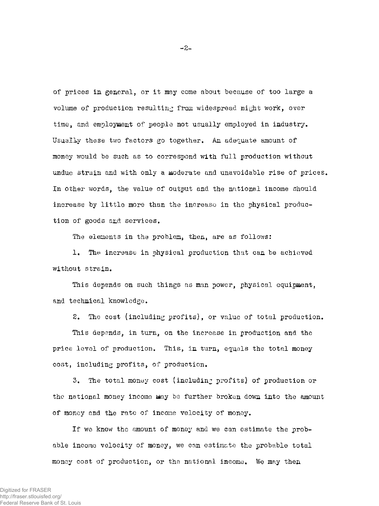of prices in general, or it may come about because of too large a volume of production resulting from widespread night work, over time, and employment of people not usually employed in industry. Usually these two factors go together. An adequate amount of money would be such as to correspond with full production without undue strain and with only a moderate and unavoidable rise of prices. In other words, the value of output and the national income should increase by little more than the increase in the physical production of goods and services.

The elements in the problem, then, are as follows:

1. The increase in physical production that can be achieved without strain.

This depends on such things as man power, physical equipment, and technical knowledge.

2. The cost (including profits), or value of total production.

This depends, in turn, on the increase in production and the price level of production. This, in turn, equals the total money cost, including profits, of production.

3. The total money cost (including profits) of production or the national money income may be further broken down into the amount of money and the rate of income velocity of money.

If we know the amount of money and we can estimate the probable income velocity of money, we can estimate the probable total money cost of production, or the national income. We may then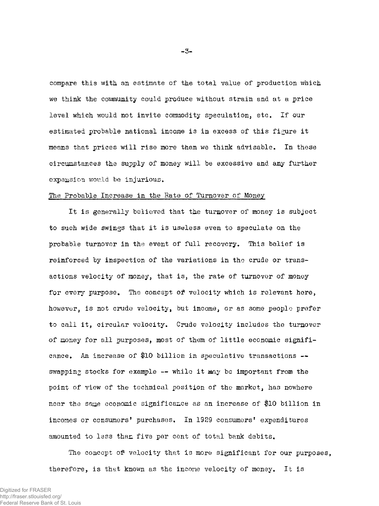compare this with an estimate of the total value of production which we think the community could produce without strain and at a price level which would not invite commodity speculation, etc. If our estimated probable national income is in excess of this figure it means that prices will rise more than we think advisable. In these circumstances the supply of money will be excessive and any further expansion would be injurious.

#### The Probable Increase in the Rate of Turnover of Money

It is generally believed that the turnover of money is subject to such wide swings that it is useless even to speculate on the probable turnover in the event of full recovery. This belief is reinforced by inspection of the variations in the crude or transactions velocity of money, that is, the rate of turnover of money for every purpose. The concept of velocity which is relevant here, however, is not crude velocity, but income, or as some people prefer to call it, circular velocity. Crude velocity includes the turnover of money for all purposes, most of them of little economic significance. An increase of \$10 billion in speculative transactions swapping stocks for example  $--$  while it may be important from the point of view of the technical position of the market, has nowhere near the same economic significance as an increase of \$10 billion in incomes or consumers' purchases. In 1929 consumers' expenditures amounted to less than five per cent of total bank debits.

The concept of velocity that is more significant for our purposes, therefore, is that known as the income velocity of money. It is

**- 3-**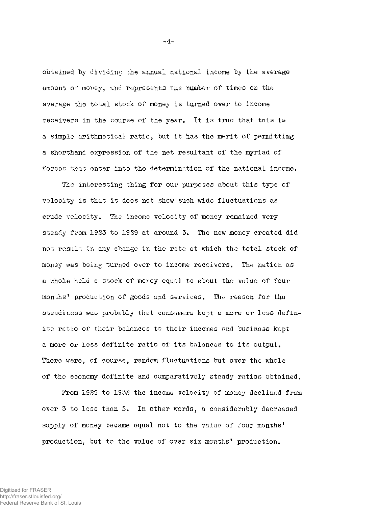obtained by dividing the annual national income by the average amount of money, and represents the number of times on the average the total stock of money is turned over to income receivers in the course of the year. It is true that this is a simple arithmetical ratio, but it has the merit of permitting a shorthand expression of the net resultant of the myriad of forces that enter into the determination of the national income.

The interesting thing for our purposes about this type of velocity is that it does not show such wide fluctuations as crude velocity. The income velocity of money remained very steady from 1923 to 1929 at around 3. The new money created did not result in any change in the rate at which the total stock of money was being turned over to income receivers. The nation as a whole held a stock of money equal to about the value of four months\* production of goods and services. The reason for the steadiness was probably that consumers kept a more or less definite ratio of their balances to their incomes and business kept a more or less definite ratio of its balances to its output. There were, of course, random fluctuations but over the whole of the economy definite and comparatively steady ratios obtained.

From 1929 to 1932 the income velocity of money declined from over 3 to less than 2. In other words, a considerably decreased supply of money became equal not to the value of four months' production, but to the value of over six months' production.

**-4-**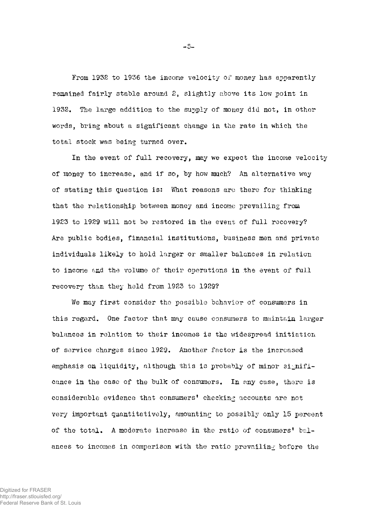From 1932 to 1936 the income velocity of money has apparently remained fairly stable around 2, slightly above its low point in 1932. The large addition to the supply of money did not, in other words, bring about a significant change in the rate in which the total stock was being turned over.

In the event of full recovery, may we expect the income velocity of money to increase, and if so, by how much? An alternative way of stating this question is: What reasons are there for thinking that the relationship between money and income prevailing from 1923 to 1929 will not be restored in the event of full recovery? Are public bodies, financial institutions, business men and private individuals likely to hold larger or smaller balances in relation to income find the volume of their operations in the event of full recovery than they held from 1923 to 1929?

We may first consider the possible behavior of consumers in this regard. One factor that may cause consumers to maintain larger balances in relation to their incomes is the widespread initiation of service charges since 1929. Another factor is the increased emphasis on liquidity, although this is probably of minor significance in the case of the bulk of consumers. In any case, there is considerable evidence that consumers' checking accounts are not very important quantitatively, amounting to possibly only 15 percent of the total. A moderate increase in the ratio of consumers' balances to incomes in comparison with the ratio prevailing before the

**- 5 -**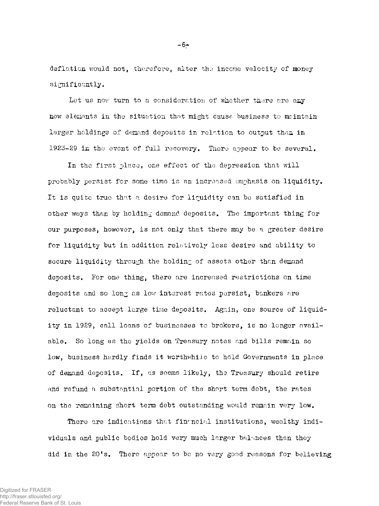deflation would not, therefore, alter the income velocity of money significantly.

Let us now turn to a consideration of whether there are any new elements in the situation that might cause business to maintain larger holdings of demand deposits in relation to output than in 1923-29 in the event of full recovery. There appear to be several.

In the first place, one effect of the depression that will probably persist for some time is an increased emphasis on liquidity. It is quite true that a desire for liquidity can be satisfied in other ways than by holding demand deposits. The important thing for our purposes, however, is not only that there may be a greater desire for liquidity but in addition relatively less desire and ability to secure liquidity through the holding of assets other than demand deposits. For one thing, there are increased restrictions on time deposits and so long as low interest rates persist, bankers are reluctant to accept large time deposits. Again, one source of liquidity in 1929, call loans of businesses to brokers, is no longer available. So long as the yields on Treasury notes and bills remain so low, business hardly finds it worthwhile to hold Governments in place of demand deposits. If, as seems likely, the Treasury should retire and refund a substantial portion of the short term debt, the rates on the remaining short term debt outstanding would remain very low.

There are indications that financial institutions, wealthy individuals and public bodies hold very much larger balances than they did in the 20's. There appear to be no very good reasons for believing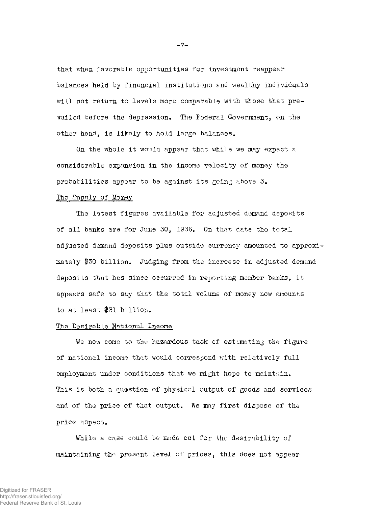that when favorable opportunities for investment reappear balances held by financial institutions and wealthy individuals will not return to levels more comparable with those that prevailed before the depression. The Federal Government, on the other hand, is likely to hold large balances.

On the whole it would appear that while we may expect a considerable expansion in the income velocity of money the probabilities appear to be against its going above 3.

## The Supply of Money

The latest figures available for adjusted demand deposits of all banks are for June 30, 1936. On that date the total adjusted demand deposits plus outside currency amounted to approximately #30 billion. Judging from the increase in adjusted demand deposits that has since occurred in reporting member banks, it appears safe to say that the total volume of money now amounts to at least #31 billion.

## The Desirable National Income

We now come to the hazardous task of estimating the figure of national income that would correspond with relatively full employment under conditions that we might hope to maintain. This is both a question of physical output of goods and services and of the price of that output. We may first dispose of the price aspect.

While a case could be made out for the desirability of maintaining the present level of prices, this does not appear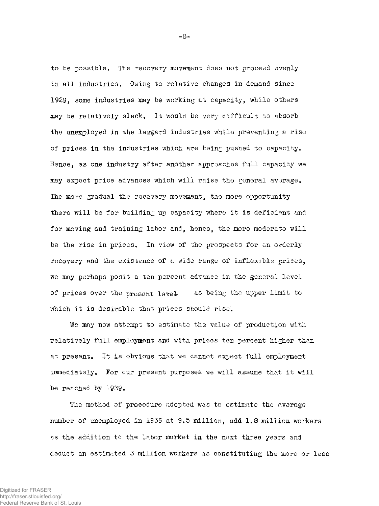to be possible. The recovery movement does not proceed evenly in all industries. Owing to relative changes in demand since 1929, some industries may be working at capacity, while others may be relatively slack. It would be very difficult to absorb the unemployed in the laggard industries while preventing a rise of prices in the industries which are being pushed to capacity. Hence, as one industry after another approaches full capacity we may expect price advances which will raise the general average. The more gradual the recovery movement, the more opportunity there will be for building up capacity where it is deficient and for moving and training labor and, hence, the more moderate will be the rise in prices. In view of the prospects for an orderly recovery and the existence of a wide range of inflexible prices, we may perhaps posit a ten percent advance in the general level of prices over the present level as being the upper limit to which it is desirable that prices should rise.

We may now attempt to estimate the value of production with relatively full employment and with prices ten percent higher than at present. It is obvious that we cannot expect full employment immediately. For our present purposes we will assume that it will be reached by 1939.

The method of procedure adopted was to estimate the average number of unemployed in 1936 at 9.5 million, add 1.8 million workers as the addition to the labor market in the next three years and deduct an estimated 3 million workers as constituting the more or less

**- 8 -**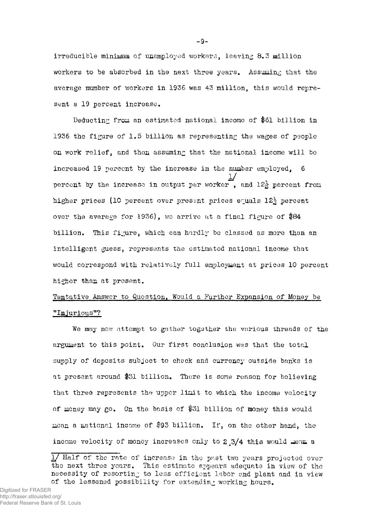irreducible minimum of unemployed workers, leaving 8.3 million workers to be absorbed in the next three years. Assuming that the average number of workers in 1936 was 43 million, this would represent a 19 percent increase.

Deducting from an estimated national income of \$61 billion in 1936 the figure of 1.5 billion as representing the wages of people on work relief, and then assuming that the national income will be increased 19 percent by the increase in the number employed, 6 percent by the increase in output per worker, and 12<sup>3</sup> percent from percent by the increase in output per worker , and 12g- percent from higher prices (10 percent over present prices equals 12<sup>5</sup> percent over the average for 1936), we arrive at a final figure of \$84 billion. This figure, which can hardly be classed as more than an would correspond with relatively full employment at prices 10 percent higher than at present.

# Tentative Answer to Question, Would a Further Expansion of Money be "Injurious"?

We may now attempt to gather together the various threads of the at present around \$31 billion. There is some reason for believing that three represents the upper limit to which the income velocity that the upper limit to  $\mathcal{L}_\text{max}$  the upper limit to which the income velocity to which the income velocity  $\mathcal{L}_\text{max}$ of money may go. On the basis of \$31 billion of money this would mean a national income of \$93 billion. If, on the other hand, the income velocity of money increases only to 2.3/4 this would mean a

 $\overline{\phantom{a}}$  income velocity of  $\overline{\phantom{a}}$  this would increase only to  $2^4$ 

<sup>1/</sup> Half of the rate of increase in the past two years projected over the next three years. This estimate appears adequate in view of the necessity of resorting to less efficient labor and plant and in view of the lessened possibility for extending working hours.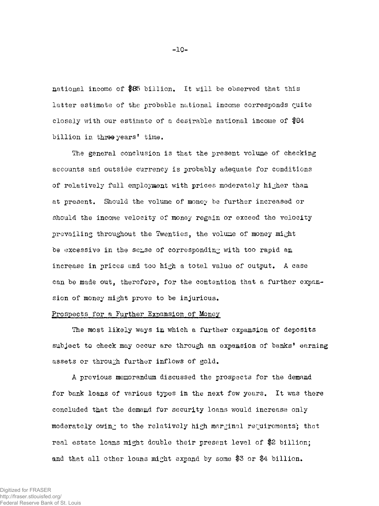national income of \$85 billion. It will be observed that this latter estimate of the probable national income corresponds quite closely with our estimate of a desirable national income of \$84 billion in three years' time.

The general conclusion is that the present volume of checking accounts and outside currency is probably adequate for conditions of relatively full employment with prices moderately higher than at present. Should the volume of money be further increased or should the income velocity of money regain or exceed the velocity prevailing throughout the Twenties, the volume of money might be excessive in the sense of corresponding with too rapid an increase in prices and too high a total value of output, A case can be made out, therefore, for the contention that a further expansion of money might prove to be injurious.

## Prospects for a Further Expansion of Money

The most likely ways in which a further expansion of deposits subject to check may occur are through an expansion of banks' earning assets or through further inflows of gold.

A previous memorandum discussed the prospects for the demand for bank loans of various types in the next few years. It was there concluded that the demand for security loans would increase only moderately owing to the relatively high marginal requirements; that real estate loans might double their present level of \$2 billion; and that all other loans might expand by some \$3 or \$4 billion.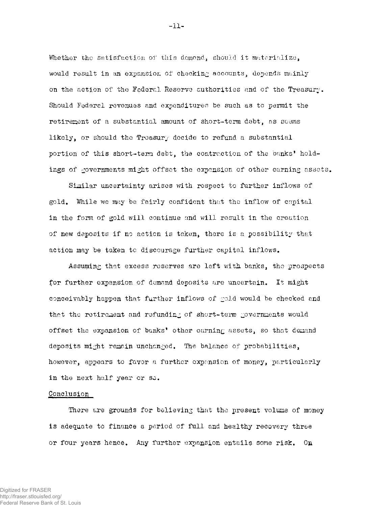Whether the satisfaction of this demand, should it materialize, would result in an expansion of checking accounts, depends mainly on the action of the Federal Reserve authorities and of the Treasury. Should Federal revenues and expenditures be such as to permit the retirement of a substantial amount of short-term debt, as seems likely, or should the Treasury decide to refund a substantial portion of this short-term debt, the contraction of the banks' holdings of governments might offset the expansion of other earning assets.

Similar uncertainty arises with respect to further inflows of gold. While we may be fairly confident that the inflow of capital in the form of gold will continue and will result in the creation of new deposits if no action is taken, there is a possibility that action may be taken to discourage further capital inflows.

Assuming that excess reserves are left with banks, the prospects for further expansion of demand deposits are uncertain. It might conceivably happen that further inflows of gold would be checked and that the retirement and refunding of short-term governments would offset the expansion of banks' other earning assets, so that demand deposits might remain unchanged. The balance of probabilities, however, appears to favor a further expansion of money, particularly in the next half year or so.

### Conclusion

There are grounds for believing that the present volume of money is adequate to finance a period of full and healthy recovery three or four years hence. Any further expansion entails some risk. On

**-11-**